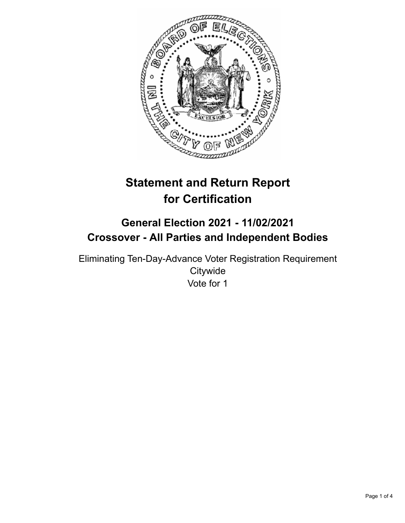

# **Statement and Return Report for Certification**

## **General Election 2021 - 11/02/2021 Crossover - All Parties and Independent Bodies**

Eliminating Ten-Day-Advance Voter Registration Requirement **Citywide** Vote for 1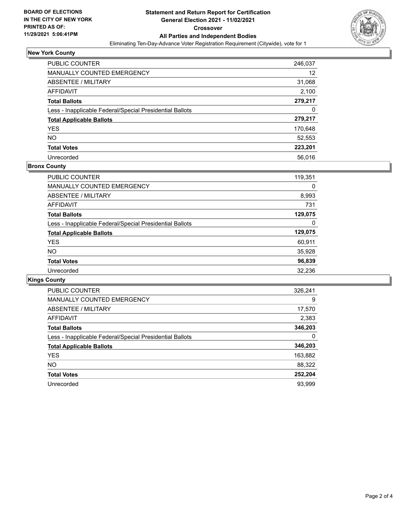

## **New York County**

| <b>PUBLIC COUNTER</b>                                    | 246,037 |
|----------------------------------------------------------|---------|
| <b>MANUALLY COUNTED EMERGENCY</b>                        | 12      |
| ABSENTEE / MILITARY                                      | 31,068  |
| AFFIDAVIT                                                | 2,100   |
| <b>Total Ballots</b>                                     | 279,217 |
| Less - Inapplicable Federal/Special Presidential Ballots | 0       |
| <b>Total Applicable Ballots</b>                          | 279,217 |
| <b>YES</b>                                               | 170,648 |
| <b>NO</b>                                                | 52,553  |
| <b>Total Votes</b>                                       | 223,201 |
| Unrecorded                                               | 56.016  |

## **Bronx County**

| <b>PUBLIC COUNTER</b>                                    | 119,351 |
|----------------------------------------------------------|---------|
| <b>MANUALLY COUNTED EMERGENCY</b>                        | 0       |
| ABSENTEE / MILITARY                                      | 8,993   |
| <b>AFFIDAVIT</b>                                         | 731     |
| <b>Total Ballots</b>                                     | 129,075 |
| Less - Inapplicable Federal/Special Presidential Ballots | 0       |
| <b>Total Applicable Ballots</b>                          | 129,075 |
| <b>YES</b>                                               | 60,911  |
| NO.                                                      | 35,928  |
| <b>Total Votes</b>                                       | 96,839  |
| Unrecorded                                               | 32.236  |

## **Kings County**

| <b>PUBLIC COUNTER</b>                                    | 326,241 |
|----------------------------------------------------------|---------|
| <b>MANUALLY COUNTED EMERGENCY</b>                        | 9       |
| ABSENTEE / MILITARY                                      | 17,570  |
| AFFIDAVIT                                                | 2,383   |
| <b>Total Ballots</b>                                     | 346,203 |
| Less - Inapplicable Federal/Special Presidential Ballots | 0       |
| <b>Total Applicable Ballots</b>                          | 346,203 |
| <b>YES</b>                                               | 163,882 |
| NO.                                                      | 88,322  |
| <b>Total Votes</b>                                       | 252,204 |
| Unrecorded                                               | 93.999  |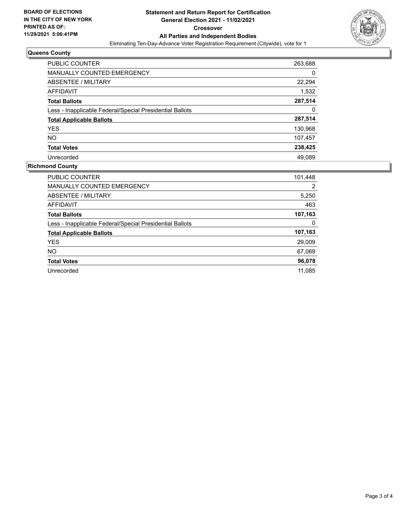

## **Queens County**

| <b>PUBLIC COUNTER</b>                                    | 263,688 |
|----------------------------------------------------------|---------|
| MANUALLY COUNTED EMERGENCY                               | 0       |
| <b>ABSENTEE / MILITARY</b>                               | 22,294  |
| <b>AFFIDAVIT</b>                                         | 1,532   |
| <b>Total Ballots</b>                                     | 287,514 |
| Less - Inapplicable Federal/Special Presidential Ballots | 0       |
| <b>Total Applicable Ballots</b>                          | 287,514 |
| <b>YES</b>                                               | 130,968 |
| <b>NO</b>                                                | 107,457 |
| <b>Total Votes</b>                                       | 238,425 |
| Unrecorded                                               | 49.089  |

## **Richmond County**

| <b>PUBLIC COUNTER</b>                                    | 101,448 |
|----------------------------------------------------------|---------|
| MANUALLY COUNTED EMERGENCY                               | 2       |
| ABSENTEE / MILITARY                                      | 5,250   |
| AFFIDAVIT                                                | 463     |
| <b>Total Ballots</b>                                     | 107,163 |
| Less - Inapplicable Federal/Special Presidential Ballots | 0       |
| <b>Total Applicable Ballots</b>                          | 107,163 |
| <b>YES</b>                                               | 29,009  |
| NO.                                                      | 67,069  |
| <b>Total Votes</b>                                       | 96,078  |
| Unrecorded                                               | 11.085  |